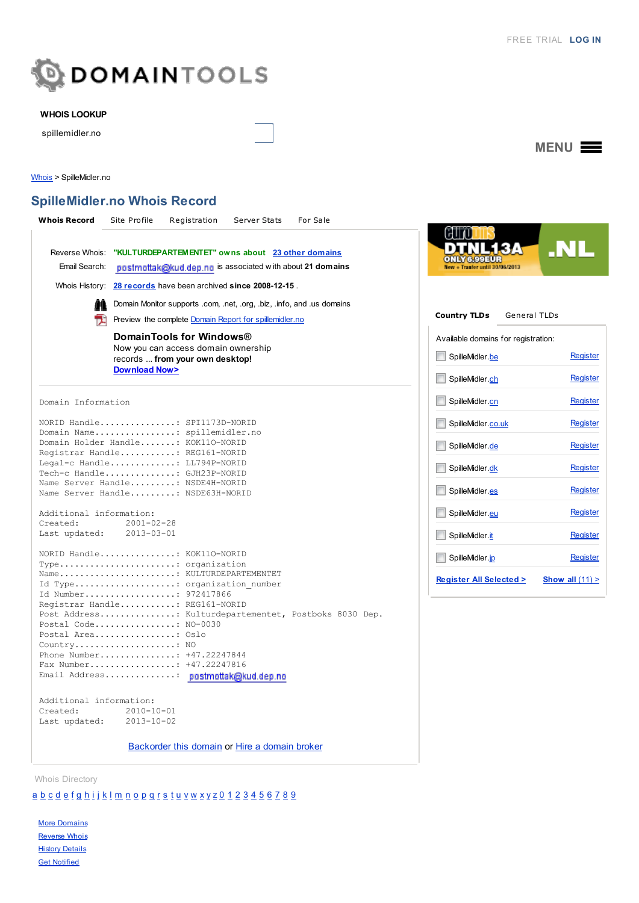

### WHOIS LOOKUP

spillemidler.no

MENU<sup>E</sup>

[Whois](http://whois.domaintools.com/) > SpilleMidler.no

# SpilleMidler.no Whois Record

| <b>Whois Record</b>                                                                                                                             | For Sale<br>Site Profile<br>Registration<br>Server Stats                                                                      |                                                                           |                             |
|-------------------------------------------------------------------------------------------------------------------------------------------------|-------------------------------------------------------------------------------------------------------------------------------|---------------------------------------------------------------------------|-----------------------------|
| Reverse Whois:<br>Email Search:                                                                                                                 | "KULTURDEPARTEMENTET" owns about 23 other domains<br>postmottak@kud.dep.no is associated with about 21 domains                | Tranfer until 30/08/2013                                                  | .NL                         |
|                                                                                                                                                 | Whois History: 28 records have been archived since 2008-12-15.                                                                |                                                                           |                             |
|                                                                                                                                                 | Domain Monitor supports .com, .net, .org, .biz, .info, and .us domains                                                        |                                                                           |                             |
| T.                                                                                                                                              | Preview the complete Domain Report for spillemidler.no                                                                        | <b>Country TLDs</b><br><b>General TLDs</b>                                |                             |
|                                                                                                                                                 | DomainTools for Windows®<br>Now you can access domain ownership<br>records  from your own desktop!<br><b>Download Now&gt;</b> | Available domains for registration:<br>SpilleMidler.be<br>SpilleMidler.ch | <b>Register</b><br>Register |
| Domain Information                                                                                                                              |                                                                                                                               | SpilleMidler.cn                                                           | Register                    |
| NORID Handle: SPI1173D-NORID<br>Domain Name: spillemidler.no<br>Domain Holder Handle: KOK110-NORID                                              |                                                                                                                               | SpilleMidler.co.uk                                                        | <b>Register</b>             |
| Registrar Handle: REG161-NORID                                                                                                                  |                                                                                                                               | SpilleMidler.de                                                           | Register                    |
| Legal-c Handle: LL794P-NORID<br>Tech-c Handle: GJH23P-NORID                                                                                     |                                                                                                                               | SpilleMidler.dk                                                           | <b>Register</b>             |
| Name Server Handle: NSDE4H-NORID<br>Name Server Handle: NSDE63H-NORID                                                                           |                                                                                                                               | SpilleMidler.es                                                           | <b>Register</b>             |
| Additional information:                                                                                                                         |                                                                                                                               | SpilleMidler.eu                                                           | <b>Register</b>             |
| Created:<br>Last updated:                                                                                                                       | $2001 - 02 - 28$<br>$2013 - 03 - 01$                                                                                          | SpilleMidler.it                                                           | <b>Register</b>             |
| NORID Handle KOK110-NORID                                                                                                                       |                                                                                                                               | SpilleMidler.jp                                                           | <b>Register</b>             |
| Type: organization<br>Name KULTURDEPARTEMENTET                                                                                                  |                                                                                                                               |                                                                           |                             |
| Id Type: organization number<br>Id Number: 972417866<br>Registrar Handle: REG161-NORID<br>Post Address: Kulturdepartementet, Postboks 8030 Dep. |                                                                                                                               | <b>Register All Selected &gt;</b>                                         | Show all $(11)$ >           |
|                                                                                                                                                 | Postal Code NO-0030                                                                                                           |                                                                           |                             |
|                                                                                                                                                 | Postal Area: Oslo<br>Country NO                                                                                               |                                                                           |                             |
| Phone Number +47.22247844                                                                                                                       |                                                                                                                               |                                                                           |                             |
|                                                                                                                                                 | Fax Number +47.22247816<br>Email Address: postmottak@kud.dep.no                                                               |                                                                           |                             |
| Additional information:<br>Created:<br>Last updated:                                                                                            | $2010 - 10 - 01$<br>$2013 - 10 - 02$                                                                                          |                                                                           |                             |

[Backorder](http://www.domaintools.com/redirect/broker/spillemidler.no/?broker_id=8&location=whois-guest&placement=whois-record) this domain or Hire a [domain](http://www.domaintools.com/redirect/broker/spillemidler.no/?location=whois-user&placement=expire-date) broker

Whois Directory

# [a](http://whois.domaintools.com/browse/a/) [b](http://whois.domaintools.com/browse/b/) [c](http://whois.domaintools.com/browse/c/) [d](http://whois.domaintools.com/browse/d/) [e](http://whois.domaintools.com/browse/e/) [f](http://whois.domaintools.com/browse/f/) [g](http://whois.domaintools.com/browse/g/) [h](http://whois.domaintools.com/browse/h/) [i](http://whois.domaintools.com/browse/i/) [j](http://whois.domaintools.com/browse/j/) [k](http://whois.domaintools.com/browse/k/) [l](http://whois.domaintools.com/browse/l/) [m](http://whois.domaintools.com/browse/m/) [n](http://whois.domaintools.com/browse/n/) [o](http://whois.domaintools.com/browse/o/) [p](http://whois.domaintools.com/browse/p/) [q](http://whois.domaintools.com/browse/q/) [r](http://whois.domaintools.com/browse/r/) [s](http://whois.domaintools.com/browse/s/) [t](http://whois.domaintools.com/browse/t/) [u](http://whois.domaintools.com/browse/u/) [v](http://whois.domaintools.com/browse/v/) [w](http://whois.domaintools.com/browse/w/) [x](http://whois.domaintools.com/browse/x/) [y](http://whois.domaintools.com/browse/y/) [z](http://whois.domaintools.com/browse/z/) [0](http://whois.domaintools.com/browse/0/) [1](http://whois.domaintools.com/browse/1/) [2](http://whois.domaintools.com/browse/2/) [3](http://whois.domaintools.com/browse/3/) [4](http://whois.domaintools.com/browse/4/) [5](http://whois.domaintools.com/browse/5/) [6](http://whois.domaintools.com/browse/6/) [7](http://whois.domaintools.com/browse/7/) [8](http://whois.domaintools.com/browse/8/) [9](http://whois.domaintools.com/browse/9/)

**More [Domains](http://www.domaintools.com/buy/domain-search/?track=ProductList&q=spillemidler.no)** [Reverse](http://reversewhois.domaintools.com/?track=ProductList&none[]=&all[]=KULTURDEPARTEMENTET) Whois **History [Details](http://www.domaintools.com/research/whois-history/?track=ProductList&q=spillemidler.no&page=results)** Get [Notified](http://www.domaintools.com/monitor/domain-monitor/?track=ProductList)